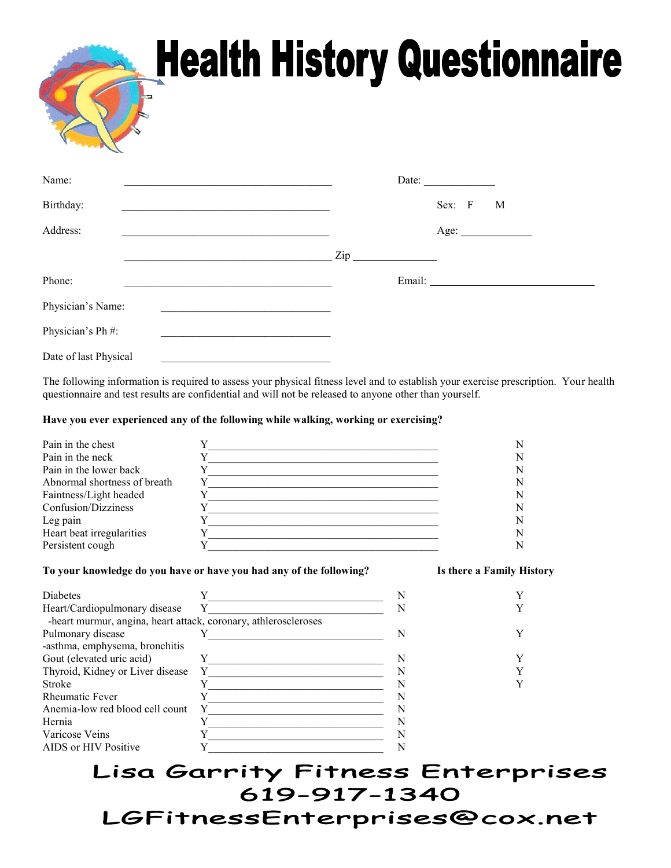## **Health History Questionnaire**

| Name:                 |                                                                                                                        |                | Date: $\qquad \qquad$ |        |      |  |
|-----------------------|------------------------------------------------------------------------------------------------------------------------|----------------|-----------------------|--------|------|--|
| Birthday:             | <u> 1989 - Jan James James Jan James James James James James James James James James James James James James James</u> |                |                       | Sex: F | M    |  |
| Address:              | the contract of the contract of the contract of the contract of the contract of the contract of                        |                |                       |        | Age: |  |
|                       |                                                                                                                        | $\mathsf{Zip}$ |                       |        |      |  |
| Phone:                |                                                                                                                        |                | Email:                |        |      |  |
| Physician's Name:     |                                                                                                                        |                |                       |        |      |  |
| Physician's Ph #:     |                                                                                                                        |                |                       |        |      |  |
| Date of last Physical |                                                                                                                        |                |                       |        |      |  |

The following information is required to assess your physical fitness level and to establish your exercise prescription. Your health questionnaire and test results are confidential and will not be released to anyone other than yourself.

## **Have you ever experienced any of the following while walking, working or exercising?**

| Pain in the chest            |  |
|------------------------------|--|
| Pain in the neck             |  |
| Pain in the lower back       |  |
| Abnormal shortness of breath |  |
| Faintness/Light headed       |  |
| Confusion/Dizziness          |  |
| Leg pain                     |  |
| Heart beat irregularities    |  |
| Persistent cough             |  |

## **To your knowledge do you have or have you had any of the following? Is there a Family History**

| N                                                               |  |
|-----------------------------------------------------------------|--|
|                                                                 |  |
|                                                                 |  |
|                                                                 |  |
|                                                                 |  |
|                                                                 |  |
|                                                                 |  |
|                                                                 |  |
|                                                                 |  |
|                                                                 |  |
| -heart murmur, angina, heart attack, coronary, athleroscleroses |  |

## Lisa Garrity Fitness Enterprises 619-917-1340 LGFitnessEnterprises@cox.net